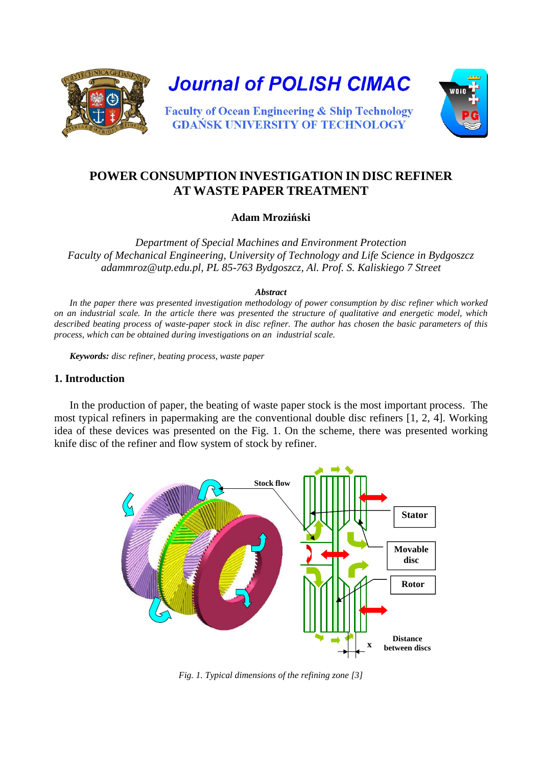

**Journal of POLISH CIMAC** 



**Faculty of Ocean Engineering & Ship Technology GDANSK UNIVERSITY OF TECHNOLOGY** 

# **POWER CONSUMPTION INVESTIGATION IN DISC REFINER AT WASTE PAPER TREATMENT**

## **Adam Mroziński**

*Department of Special Machines and Environment Protection Faculty of Mechanical Engineering, University of Technology and Life Science in Bydgoszcz adammroz@utp.edu.pl, PL 85-763 Bydgoszcz, Al. Prof. S. Kaliskiego 7 Street* 

#### *Abstract*

*In the paper there was presented investigation methodology of power consumption by disc refiner which worked on an industrial scale. In the article there was presented the structure of qualitative and energetic model, which described beating process of waste-paper stock in disc refiner. The author has chosen the basic parameters of this process, which can be obtained during investigations on an industrial scale.* 

*Keywords: disc refiner, beating process, waste paper*

#### **1. Introduction**

In the production of paper, the beating of waste paper stock is the most important process. The most typical refiners in papermaking are the conventional double disc refiners [1, 2, 4]. Working idea of these devices was presented on the Fig. 1. On the scheme, there was presented working knife disc of the refiner and flow system of stock by refiner.



*Fig. 1. Typical dimensions of the refining zone [3]*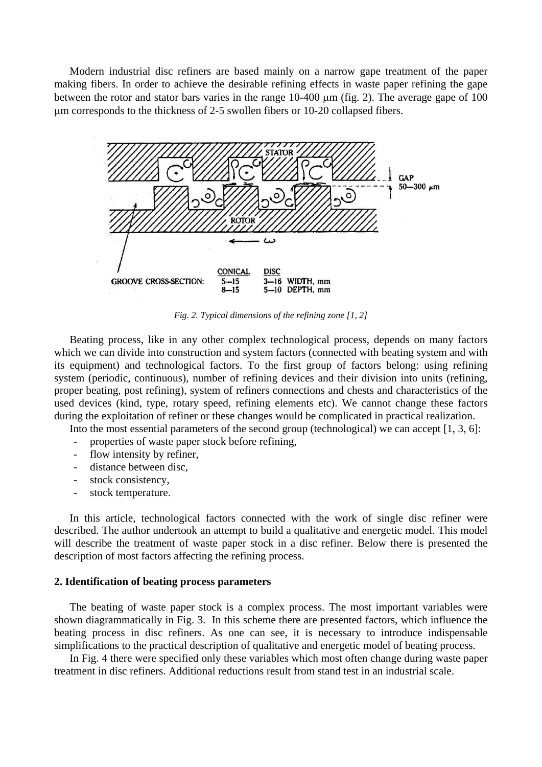Modern industrial disc refiners are based mainly on a narrow gape treatment of the paper making fibers. In order to achieve the desirable refining effects in waste paper refining the gape between the rotor and stator bars varies in the range  $10-400 \mu m$  (fig. 2). The average gape of  $100$ m corresponds to the thickness of 2-5 swollen fibers or 10-20 collapsed fibers.



*Fig. 2. Typical dimensions of the refining zone [1, 2]* 

Beating process, like in any other complex technological process, depends on many factors which we can divide into construction and system factors (connected with beating system and with its equipment) and technological factors. To the first group of factors belong: using refining system (periodic, continuous), number of refining devices and their division into units (refining, proper beating, post refining), system of refiners connections and chests and characteristics of the used devices (kind, type, rotary speed, refining elements etc). We cannot change these factors during the exploitation of refiner or these changes would be complicated in practical realization.

Into the most essential parameters of the second group (technological) we can accept [1, 3, 6]:

- properties of waste paper stock before refining,
- flow intensity by refiner,
- distance between disc,
- stock consistency,
- stock temperature.

In this article, technological factors connected with the work of single disc refiner were described. The author undertook an attempt to build a qualitative and energetic model. This model will describe the treatment of waste paper stock in a disc refiner. Below there is presented the description of most factors affecting the refining process.

#### **2. Identification of beating process parameters**

The beating of waste paper stock is a complex process. The most important variables were shown diagrammatically in Fig. 3. In this scheme there are presented factors, which influence the beating process in disc refiners. As one can see, it is necessary to introduce indispensable simplifications to the practical description of qualitative and energetic model of beating process.

In Fig. 4 there were specified only these variables which most often change during waste paper treatment in disc refiners. Additional reductions result from stand test in an industrial scale.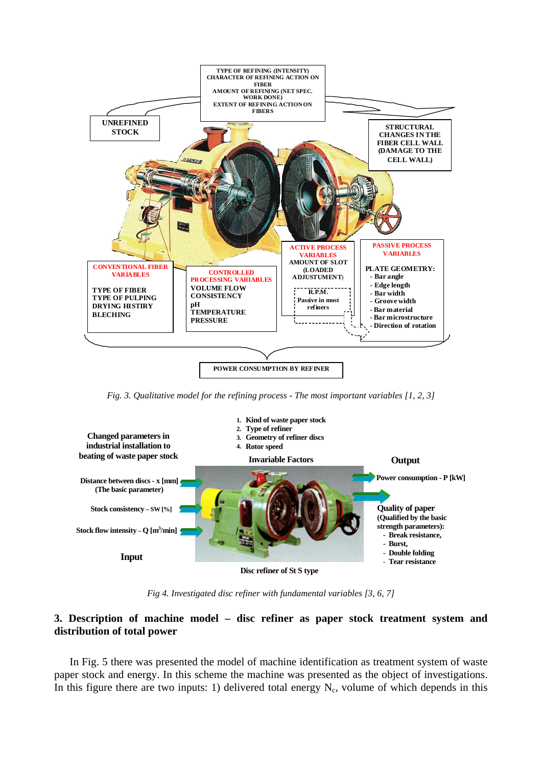

*Fig. 3. Qualitative model for the refining process - The most important variables [1, 2, 3]* 



*Fig 4. Investigated disc refiner with fundamental variables [3, 6, 7]* 

## **3. Description of machine model – disc refiner as paper stock treatment system and distribution of total power**

In Fig. 5 there was presented the model of machine identification as treatment system of waste paper stock and energy. In this scheme the machine was presented as the object of investigations. In this figure there are two inputs: 1) delivered total energy  $N_c$ , volume of which depends in this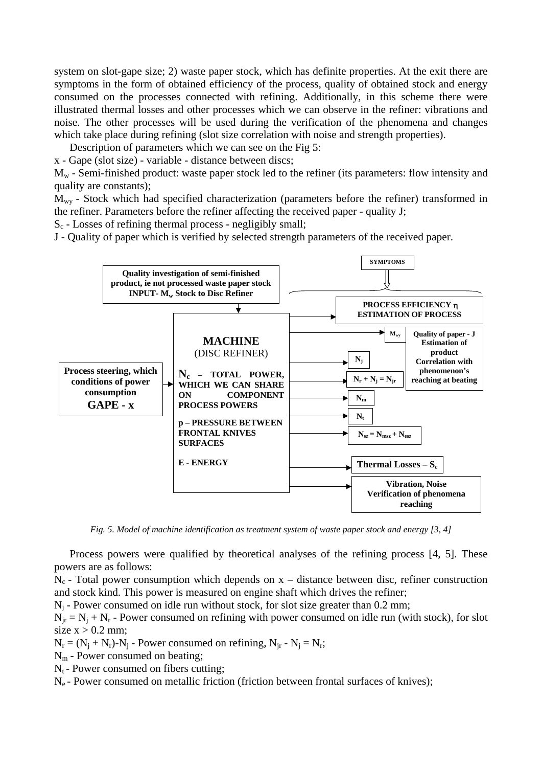system on slot-gape size; 2) waste paper stock, which has definite properties. At the exit there are symptoms in the form of obtained efficiency of the process, quality of obtained stock and energy consumed on the processes connected with refining. Additionally, in this scheme there were illustrated thermal losses and other processes which we can observe in the refiner: vibrations and noise. The other processes will be used during the verification of the phenomena and changes which take place during refining (slot size correlation with noise and strength properties).

Description of parameters which we can see on the Fig 5:

x - Gape (slot size) - variable - distance between discs;

 $M_w$  - Semi-finished product: waste paper stock led to the refiner (its parameters: flow intensity and quality are constants);

 $M_{\text{wv}}$  - Stock which had specified characterization (parameters before the refiner) transformed in the refiner. Parameters before the refiner affecting the received paper - quality J;

 $S_c$  - Losses of refining thermal process - negligibly small;

J - Quality of paper which is verified by selected strength parameters of the received paper.



*Fig. 5. Model of machine identification as treatment system of waste paper stock and energy [3, 4]* 

Process powers were qualified by theoretical analyses of the refining process [4, 5]. These powers are as follows:

 $N_c$  - Total power consumption which depends on  $x -$  distance between disc, refiner construction and stock kind. This power is measured on engine shaft which drives the refiner;

 $N_i$  - Power consumed on idle run without stock, for slot size greater than 0.2 mm;

 $N_{ir} = N_i + N_r$  - Power consumed on refining with power consumed on idle run (with stock), for slot size  $x > 0.2$  mm;

 $N_r = (N_i + N_r) - N_i$  - Power consumed on refining,  $N_{ir} - N_i = N_r$ ;

Nm - Power consumed on beating;

 $N_t$  - Power consumed on fibers cutting;

 $N_e$  - Power consumed on metallic friction (friction between frontal surfaces of knives);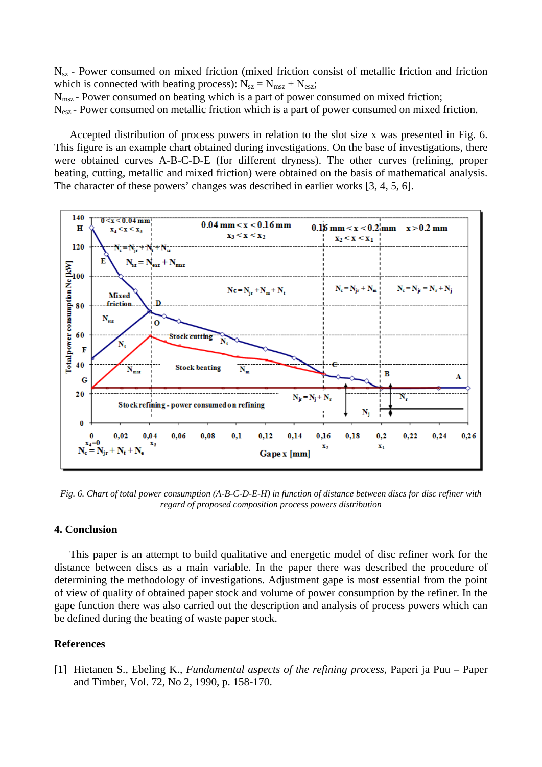$N_{sz}$  - Power consumed on mixed friction (mixed friction consist of metallic friction and friction which is connected with beating process):  $N_{sz} = N_{msz} + N_{esz}$ ;

N<sub>msz</sub> - Power consumed on beating which is a part of power consumed on mixed friction;

N<sub>esz</sub> - Power consumed on metallic friction which is a part of power consumed on mixed friction.

Accepted distribution of process powers in relation to the slot size x was presented in Fig. 6. This figure is an example chart obtained during investigations. On the base of investigations, there were obtained curves A-B-C-D-E (for different dryness). The other curves (refining, proper beating, cutting, metallic and mixed friction) were obtained on the basis of mathematical analysis. The character of these powers' changes was described in earlier works [3, 4, 5, 6].



*Fig. 6. Chart of total power consumption (A-B-C-D-E-H) in function of distance between discs for disc refiner with regard of proposed composition process powers distribution* 

#### **4. Conclusion**

This paper is an attempt to build qualitative and energetic model of disc refiner work for the distance between discs as a main variable. In the paper there was described the procedure of determining the methodology of investigations. Adjustment gape is most essential from the point of view of quality of obtained paper stock and volume of power consumption by the refiner. In the gape function there was also carried out the description and analysis of process powers which can be defined during the beating of waste paper stock.

### **References**

[1] Hietanen S., Ebeling K., *Fundamental aspects of the refining process*, Paperi ja Puu – Paper and Timber, Vol. 72, No 2, 1990, p. 158-170.